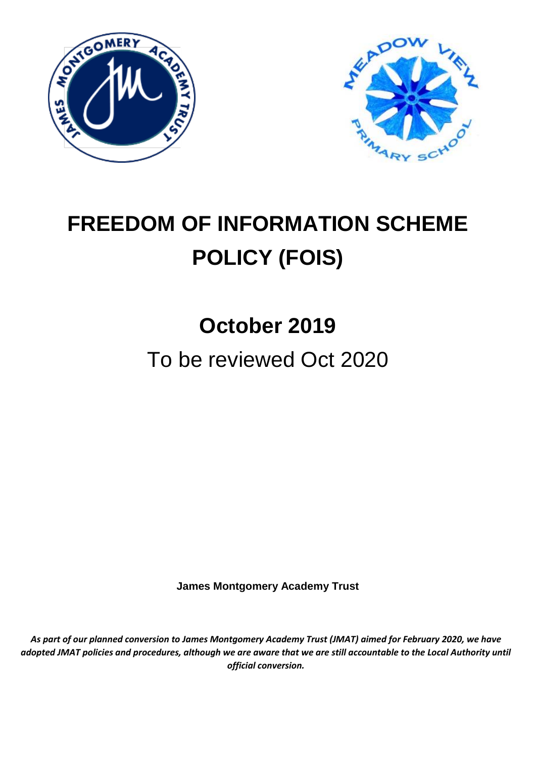



# **FREEDOM OF INFORMATION SCHEME POLICY (FOIS)**

## **October 2019**

### To be reviewed Oct 2020

**James Montgomery Academy Trust**

*As part of our planned conversion to James Montgomery Academy Trust (JMAT) aimed for February 2020, we have adopted JMAT policies and procedures, although we are aware that we are still accountable to the Local Authority until official conversion.*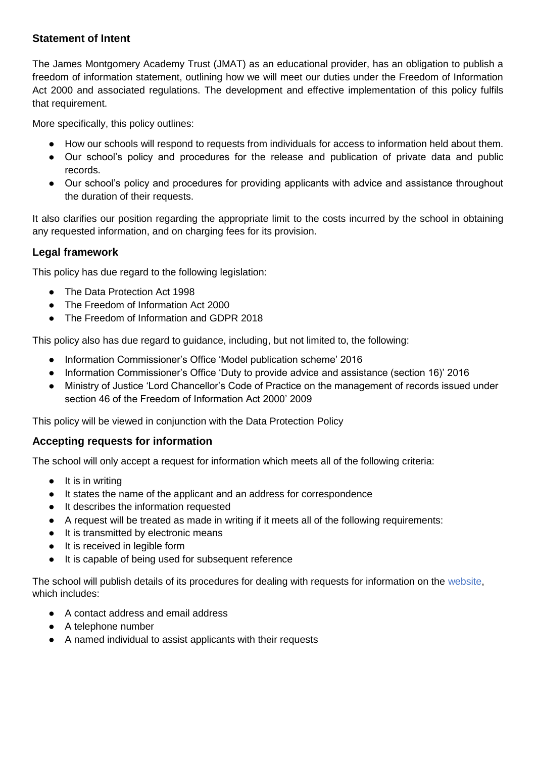#### **Statement of Intent**

The James Montgomery Academy Trust (JMAT) as an educational provider, has an obligation to publish a freedom of information statement, outlining how we will meet our duties under the Freedom of Information Act 2000 and associated regulations. The development and effective implementation of this policy fulfils that requirement.

More specifically, this policy outlines:

- How our schools will respond to requests from individuals for access to information held about them.
- Our school's policy and procedures for the release and publication of private data and public records.
- Our school's policy and procedures for providing applicants with advice and assistance throughout the duration of their requests.

It also clarifies our position regarding the appropriate limit to the costs incurred by the school in obtaining any requested information, and on charging fees for its provision.

#### **Legal framework**

This policy has due regard to the following legislation:

- The Data Protection Act 1998
- The Freedom of Information Act 2000
- The Freedom of Information and GDPR 2018

This policy also has due regard to guidance, including, but not limited to, the following:

- Information Commissioner's Office 'Model publication scheme' 2016
- Information Commissioner's Office 'Duty to provide advice and assistance (section 16)' 2016
- Ministry of Justice 'Lord Chancellor's Code of Practice on the management of records issued under section 46 of the Freedom of Information Act 2000' 2009

This policy will be viewed in conjunction with the Data Protection Policy

#### **Accepting requests for information**

The school will only accept a request for information which meets all of the following criteria:

- It is in writing
- It states the name of the applicant and an address for correspondence
- It describes the information requested
- A request will be treated as made in writing if it meets all of the following requirements:
- It is transmitted by electronic means
- It is received in legible form
- It is capable of being used for subsequent reference

The school will publish details of its procedures for dealing with requests for information on the website, which includes:

- A contact address and email address
- A telephone number
- A named individual to assist applicants with their requests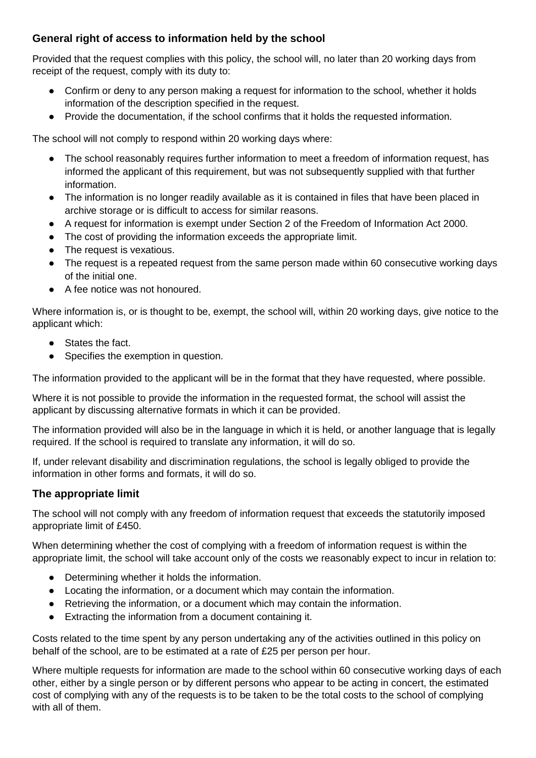#### **General right of access to information held by the school**

Provided that the request complies with this policy, the school will, no later than 20 working days from receipt of the request, comply with its duty to:

- Confirm or deny to any person making a request for information to the school, whether it holds information of the description specified in the request.
- Provide the documentation, if the school confirms that it holds the requested information.

The school will not comply to respond within 20 working days where:

- The school reasonably requires further information to meet a freedom of information request, has informed the applicant of this requirement, but was not subsequently supplied with that further information.
- The information is no longer readily available as it is contained in files that have been placed in archive storage or is difficult to access for similar reasons.
- A request for information is exempt under Section 2 of the Freedom of Information Act 2000.
- The cost of providing the information exceeds the appropriate limit.
- The request is vexatious.
- The request is a repeated request from the same person made within 60 consecutive working days of the initial one.
- A fee notice was not honoured.

Where information is, or is thought to be, exempt, the school will, within 20 working days, give notice to the applicant which:

- States the fact.
- Specifies the exemption in question.

The information provided to the applicant will be in the format that they have requested, where possible.

Where it is not possible to provide the information in the requested format, the school will assist the applicant by discussing alternative formats in which it can be provided.

The information provided will also be in the language in which it is held, or another language that is legally required. If the school is required to translate any information, it will do so.

If, under relevant disability and discrimination regulations, the school is legally obliged to provide the information in other forms and formats, it will do so.

#### **The appropriate limit**

The school will not comply with any freedom of information request that exceeds the statutorily imposed appropriate limit of £450.

When determining whether the cost of complying with a freedom of information request is within the appropriate limit, the school will take account only of the costs we reasonably expect to incur in relation to:

- Determining whether it holds the information.
- Locating the information, or a document which may contain the information.
- Retrieving the information, or a document which may contain the information.
- Extracting the information from a document containing it.

Costs related to the time spent by any person undertaking any of the activities outlined in this policy on behalf of the school, are to be estimated at a rate of £25 per person per hour.

Where multiple requests for information are made to the school within 60 consecutive working days of each other, either by a single person or by different persons who appear to be acting in concert, the estimated cost of complying with any of the requests is to be taken to be the total costs to the school of complying with all of them.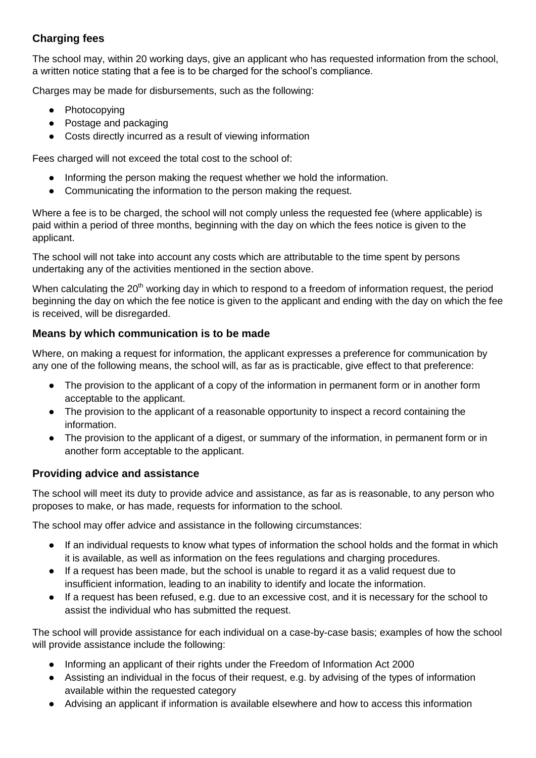#### **Charging fees**

The school may, within 20 working days, give an applicant who has requested information from the school, a written notice stating that a fee is to be charged for the school's compliance.

Charges may be made for disbursements, such as the following:

- Photocopying
- Postage and packaging
- Costs directly incurred as a result of viewing information

Fees charged will not exceed the total cost to the school of:

- Informing the person making the request whether we hold the information.
- Communicating the information to the person making the request.

Where a fee is to be charged, the school will not comply unless the requested fee (where applicable) is paid within a period of three months, beginning with the day on which the fees notice is given to the applicant.

The school will not take into account any costs which are attributable to the time spent by persons undertaking any of the activities mentioned in the section above.

When calculating the 20<sup>th</sup> working day in which to respond to a freedom of information request, the period beginning the day on which the fee notice is given to the applicant and ending with the day on which the fee is received, will be disregarded.

#### **Means by which communication is to be made**

Where, on making a request for information, the applicant expresses a preference for communication by any one of the following means, the school will, as far as is practicable, give effect to that preference:

- The provision to the applicant of a copy of the information in permanent form or in another form acceptable to the applicant.
- The provision to the applicant of a reasonable opportunity to inspect a record containing the information.
- The provision to the applicant of a digest, or summary of the information, in permanent form or in another form acceptable to the applicant.

#### **Providing advice and assistance**

The school will meet its duty to provide advice and assistance, as far as is reasonable, to any person who proposes to make, or has made, requests for information to the school.

The school may offer advice and assistance in the following circumstances:

- If an individual requests to know what types of information the school holds and the format in which it is available, as well as information on the fees regulations and charging procedures.
- If a request has been made, but the school is unable to regard it as a valid request due to insufficient information, leading to an inability to identify and locate the information.
- If a request has been refused, e.g. due to an excessive cost, and it is necessary for the school to assist the individual who has submitted the request.

The school will provide assistance for each individual on a case-by-case basis; examples of how the school will provide assistance include the following:

- Informing an applicant of their rights under the Freedom of Information Act 2000
- Assisting an individual in the focus of their request, e.g. by advising of the types of information available within the requested category
- Advising an applicant if information is available elsewhere and how to access this information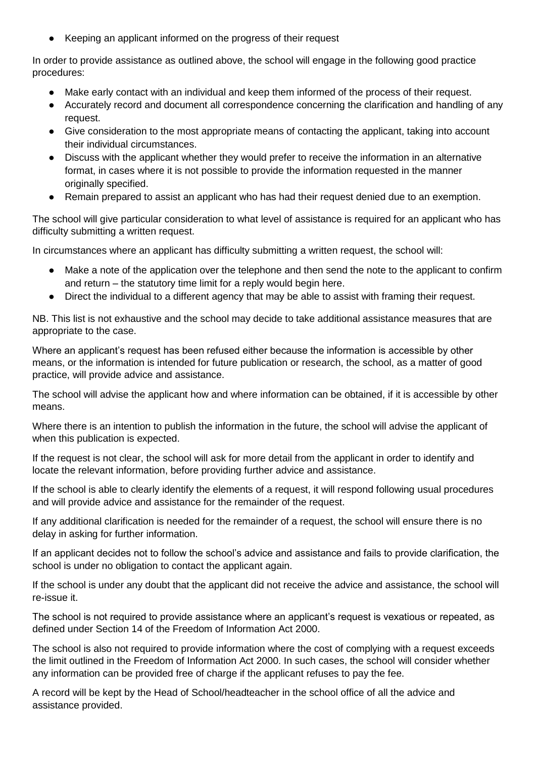Keeping an applicant informed on the progress of their request

In order to provide assistance as outlined above, the school will engage in the following good practice procedures:

- Make early contact with an individual and keep them informed of the process of their request.
- Accurately record and document all correspondence concerning the clarification and handling of any request.
- Give consideration to the most appropriate means of contacting the applicant, taking into account their individual circumstances.
- Discuss with the applicant whether they would prefer to receive the information in an alternative format, in cases where it is not possible to provide the information requested in the manner originally specified.
- Remain prepared to assist an applicant who has had their request denied due to an exemption.

The school will give particular consideration to what level of assistance is required for an applicant who has difficulty submitting a written request.

In circumstances where an applicant has difficulty submitting a written request, the school will:

- Make a note of the application over the telephone and then send the note to the applicant to confirm and return – the statutory time limit for a reply would begin here.
- Direct the individual to a different agency that may be able to assist with framing their request.

NB. This list is not exhaustive and the school may decide to take additional assistance measures that are appropriate to the case.

Where an applicant's request has been refused either because the information is accessible by other means, or the information is intended for future publication or research, the school, as a matter of good practice, will provide advice and assistance.

The school will advise the applicant how and where information can be obtained, if it is accessible by other means.

Where there is an intention to publish the information in the future, the school will advise the applicant of when this publication is expected.

If the request is not clear, the school will ask for more detail from the applicant in order to identify and locate the relevant information, before providing further advice and assistance.

If the school is able to clearly identify the elements of a request, it will respond following usual procedures and will provide advice and assistance for the remainder of the request.

If any additional clarification is needed for the remainder of a request, the school will ensure there is no delay in asking for further information.

If an applicant decides not to follow the school's advice and assistance and fails to provide clarification, the school is under no obligation to contact the applicant again.

If the school is under any doubt that the applicant did not receive the advice and assistance, the school will re-issue it.

The school is not required to provide assistance where an applicant's request is vexatious or repeated, as defined under Section 14 of the Freedom of Information Act 2000.

The school is also not required to provide information where the cost of complying with a request exceeds the limit outlined in the Freedom of Information Act 2000. In such cases, the school will consider whether any information can be provided free of charge if the applicant refuses to pay the fee.

A record will be kept by the Head of School/headteacher in the school office of all the advice and assistance provided.